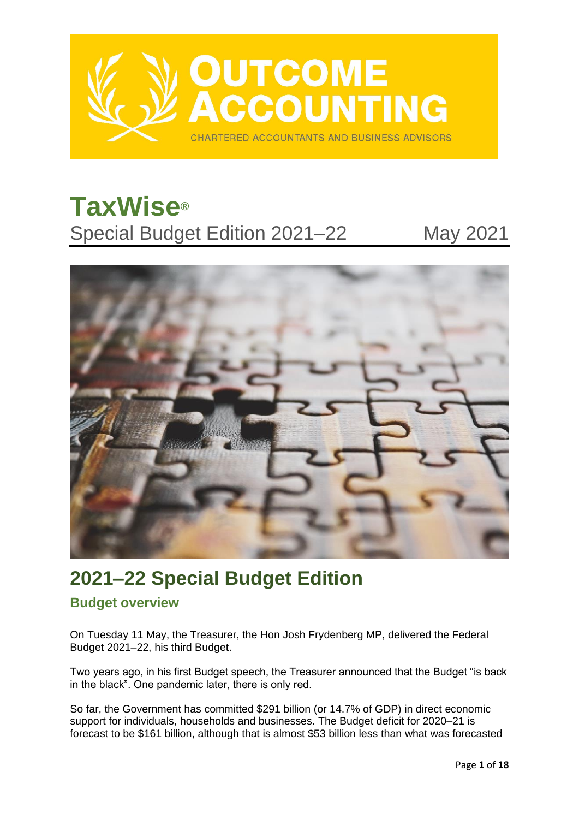

# **TaxWise®** Special Budget Edition 2021–22 May 2021



## **2021–22 Special Budget Edition**

## **Budget overview**

On Tuesday 11 May, the Treasurer, the Hon Josh Frydenberg MP, delivered the Federal Budget 2021–22, his third Budget.

Two years ago, in his first Budget speech, the Treasurer announced that the Budget "is back in the black". One pandemic later, there is only red.

So far, the Government has committed \$291 billion (or 14.7% of GDP) in direct economic support for individuals, households and businesses. The Budget deficit for 2020–21 is forecast to be \$161 billion, although that is almost \$53 billion less than what was forecasted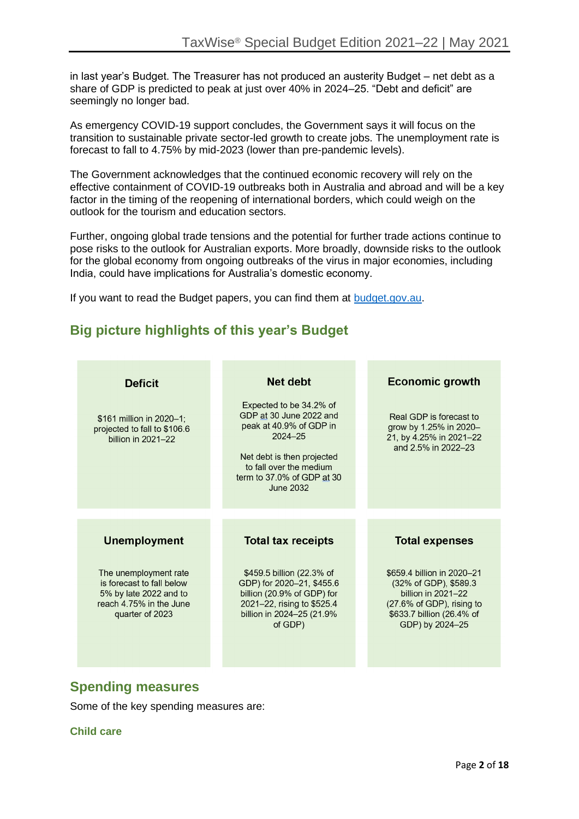in last year's Budget. The Treasurer has not produced an austerity Budget – net debt as a share of GDP is predicted to peak at just over 40% in 2024–25. "Debt and deficit" are seemingly no longer bad.

As emergency COVID-19 support concludes, the Government says it will focus on the transition to sustainable private sector-led growth to create jobs. The unemployment rate is forecast to fall to 4.75% by mid-2023 (lower than pre-pandemic levels).

The Government acknowledges that the continued economic recovery will rely on the effective containment of COVID-19 outbreaks both in Australia and abroad and will be a key factor in the timing of the reopening of international borders, which could weigh on the outlook for the tourism and education sectors.

Further, ongoing global trade tensions and the potential for further trade actions continue to pose risks to the outlook for Australian exports. More broadly, downside risks to the outlook for the global economy from ongoing outbreaks of the virus in major economies, including India, could have implications for Australia's domestic economy.

If you want to read the Budget papers, you can find them at [budget.gov.au.](https://budget.gov.au/)

## **Big picture highlights of this year's Budget**

| <b>Deficit</b>                                                                 | <b>Net debt</b>                                                                                                                                                                                         | <b>Economic growth</b>                                                                              |
|--------------------------------------------------------------------------------|---------------------------------------------------------------------------------------------------------------------------------------------------------------------------------------------------------|-----------------------------------------------------------------------------------------------------|
| \$161 million in 2020-1;<br>projected to fall to \$106.6<br>billion in 2021-22 | Expected to be 34.2% of<br>GDP at 30 June 2022 and<br>peak at 40.9% of GDP in<br>$2024 - 25$<br>Net debt is then projected<br>to fall over the medium<br>term to 37.0% of GDP at 30<br><b>June 2032</b> | Real GDP is forecast to<br>grow by 1.25% in 2020-<br>21, by 4.25% in 2021-22<br>and 2.5% in 2022-23 |
|                                                                                |                                                                                                                                                                                                         |                                                                                                     |
| <b>Unemployment</b>                                                            | <b>Total tax receipts</b>                                                                                                                                                                               | <b>Total expenses</b>                                                                               |
|                                                                                |                                                                                                                                                                                                         |                                                                                                     |

## **Spending measures**

Some of the key spending measures are:

**Child care**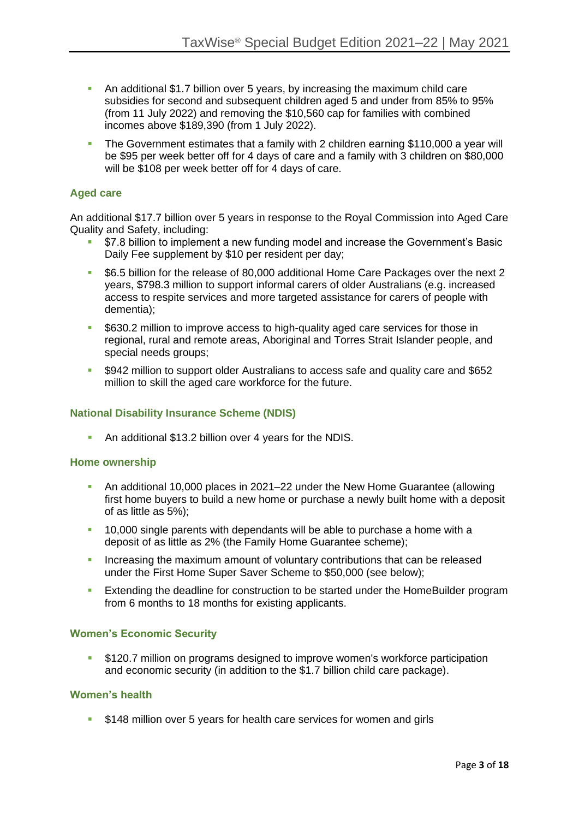- **•** An additional \$1.7 billion over 5 years, by increasing the maximum child care subsidies for second and subsequent children aged 5 and under from 85% to 95% (from 11 July 2022) and removing the \$10,560 cap for families with combined incomes above \$189,390 (from 1 July 2022).
- The Government estimates that a family with 2 children earning \$110,000 a year will be \$95 per week better off for 4 days of care and a family with 3 children on \$80,000 will be \$108 per week better off for 4 days of care.

#### **Aged care**

An additional \$17.7 billion over 5 years in response to the Royal Commission into Aged Care Quality and Safety, including:

- \$7.8 billion to implement a new funding model and increase the Government's Basic Daily Fee supplement by \$10 per resident per day;
- \$6.5 billion for the release of 80,000 additional Home Care Packages over the next 2 years, \$798.3 million to support informal carers of older Australians (e.g. increased access to respite services and more targeted assistance for carers of people with dementia);
- \$630.2 million to improve access to high-quality aged care services for those in regional, rural and remote areas, Aboriginal and Torres Strait Islander people, and special needs groups;
- \$942 million to support older Australians to access safe and quality care and \$652 million to skill the aged care workforce for the future.

#### **National Disability Insurance Scheme (NDIS)**

**• An additional \$13.2 billion over 4 years for the NDIS.** 

#### **Home ownership**

- An additional 10,000 places in 2021–22 under the New Home Guarantee (allowing first home buyers to build a new home or purchase a newly built home with a deposit of as little as 5%);
- 10,000 single parents with dependants will be able to purchase a home with a deposit of as little as 2% (the Family Home Guarantee scheme);
- **E** Increasing the maximum amount of voluntary contributions that can be released under the First Home Super Saver Scheme to \$50,000 (see below);
- **Extending the deadline for construction to be started under the HomeBuilder program** from 6 months to 18 months for existing applicants.

#### **Women's Economic Security**

\$120.7 million on programs designed to improve women's workforce participation and economic security (in addition to the \$1.7 billion child care package).

#### **Women's health**

**• \$148 million over 5 years for health care services for women and girls**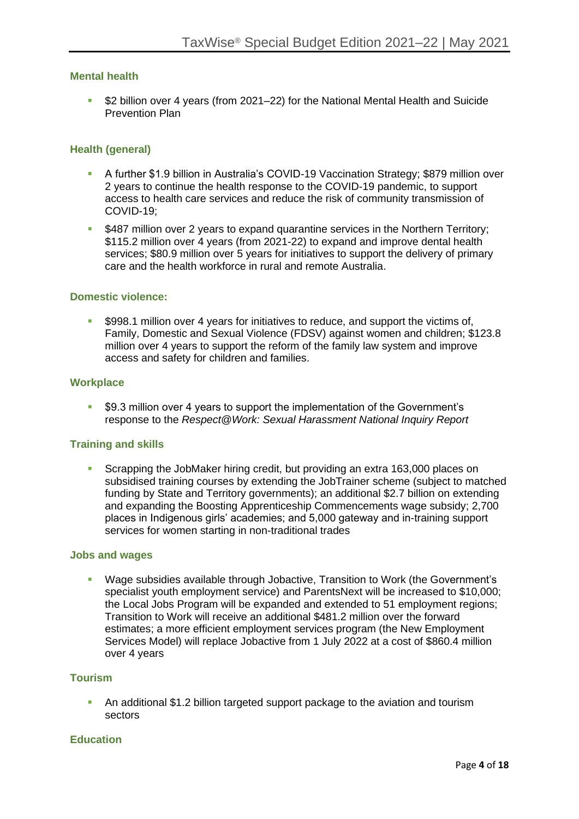#### **Mental health**

▪ \$2 billion over 4 years (from 2021–22) for the National Mental Health and Suicide Prevention Plan

#### **Health (general)**

- A further \$1.9 billion in Australia's COVID-19 Vaccination Strategy; \$879 million over 2 years to continue the health response to the COVID-19 pandemic, to support access to health care services and reduce the risk of community transmission of COVID-19;
- **\$487 million over 2 years to expand quarantine services in the Northern Territory;** \$115.2 million over 4 years (from 2021-22) to expand and improve dental health services; \$80.9 million over 5 years for initiatives to support the delivery of primary care and the health workforce in rural and remote Australia.

#### **Domestic violence:**

**•** \$998.1 million over 4 years for initiatives to reduce, and support the victims of, Family, Domestic and Sexual Violence (FDSV) against women and children; \$123.8 million over 4 years to support the reform of the family law system and improve access and safety for children and families.

#### **Workplace**

\$9.3 million over 4 years to support the implementation of the Government's response to the *Respect@Work: Sexual Harassment National Inquiry Report*

#### **Training and skills**

Scrapping the JobMaker hiring credit, but providing an extra 163,000 places on subsidised training courses by extending the JobTrainer scheme (subject to matched funding by State and Territory governments); an additional \$2.7 billion on extending and expanding the Boosting Apprenticeship Commencements wage subsidy; 2,700 places in Indigenous girls' academies; and 5,000 gateway and in-training support services for women starting in non-traditional trades

#### **Jobs and wages**

▪ Wage subsidies available through Jobactive, Transition to Work (the Government's specialist youth employment service) and ParentsNext will be increased to \$10,000; the Local Jobs Program will be expanded and extended to 51 employment regions; Transition to Work will receive an additional \$481.2 million over the forward estimates; a more efficient employment services program (the New Employment Services Model) will replace Jobactive from 1 July 2022 at a cost of \$860.4 million over 4 years

#### **Tourism**

**•** An additional \$1.2 billion targeted support package to the aviation and tourism sectors

#### **Education**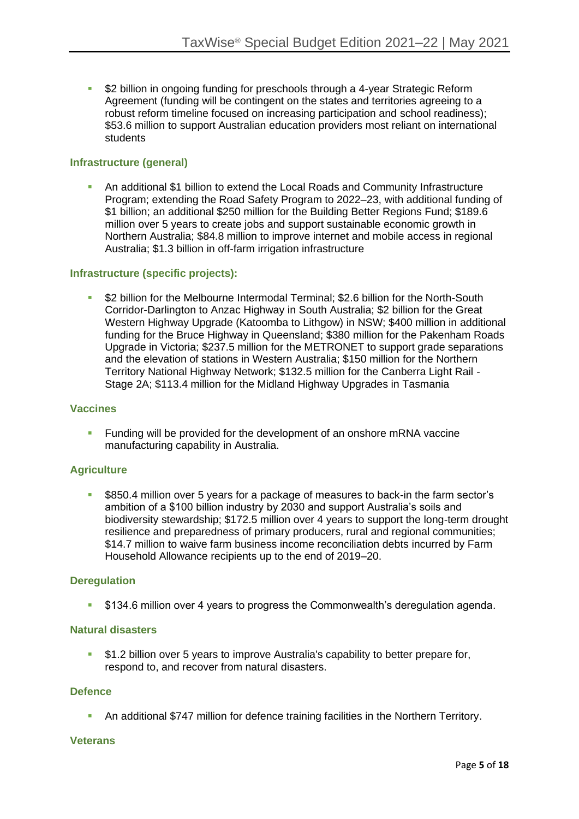**• \$2 billion in ongoing funding for preschools through a 4-year Strategic Reform** Agreement (funding will be contingent on the states and territories agreeing to a robust reform timeline focused on increasing participation and school readiness); \$53.6 million to support Australian education providers most reliant on international students

#### **Infrastructure (general)**

**• An additional \$1 billion to extend the Local Roads and Community Infrastructure** Program; extending the Road Safety Program to 2022–23, with additional funding of \$1 billion; an additional \$250 million for the Building Better Regions Fund; \$189.6 million over 5 years to create jobs and support sustainable economic growth in Northern Australia; \$84.8 million to improve internet and mobile access in regional Australia; \$1.3 billion in off-farm irrigation infrastructure

#### **Infrastructure (specific projects):**

\$2 billion for the Melbourne Intermodal Terminal: \$2.6 billion for the North-South Corridor-Darlington to Anzac Highway in South Australia; \$2 billion for the Great Western Highway Upgrade (Katoomba to Lithgow) in NSW; \$400 million in additional funding for the Bruce Highway in Queensland; \$380 million for the Pakenham Roads Upgrade in Victoria; \$237.5 million for the METRONET to support grade separations and the elevation of stations in Western Australia; \$150 million for the Northern Territory National Highway Network; \$132.5 million for the Canberra Light Rail - Stage 2A; \$113.4 million for the Midland Highway Upgrades in Tasmania

#### **Vaccines**

**EXECT** Funding will be provided for the development of an onshore mRNA vaccine manufacturing capability in Australia.

#### **Agriculture**

\$850.4 million over 5 years for a package of measures to back-in the farm sector's ambition of a \$100 billion industry by 2030 and support Australia's soils and biodiversity stewardship; \$172.5 million over 4 years to support the long-term drought resilience and preparedness of primary producers, rural and regional communities; \$14.7 million to waive farm business income reconciliation debts incurred by Farm Household Allowance recipients up to the end of 2019–20.

#### **Deregulation**

▪ \$134.6 million over 4 years to progress the Commonwealth's deregulation agenda.

#### **Natural disasters**

\$1.2 billion over 5 years to improve Australia's capability to better prepare for, respond to, and recover from natural disasters.

#### **Defence**

▪ An additional \$747 million for defence training facilities in the Northern Territory.

#### **Veterans**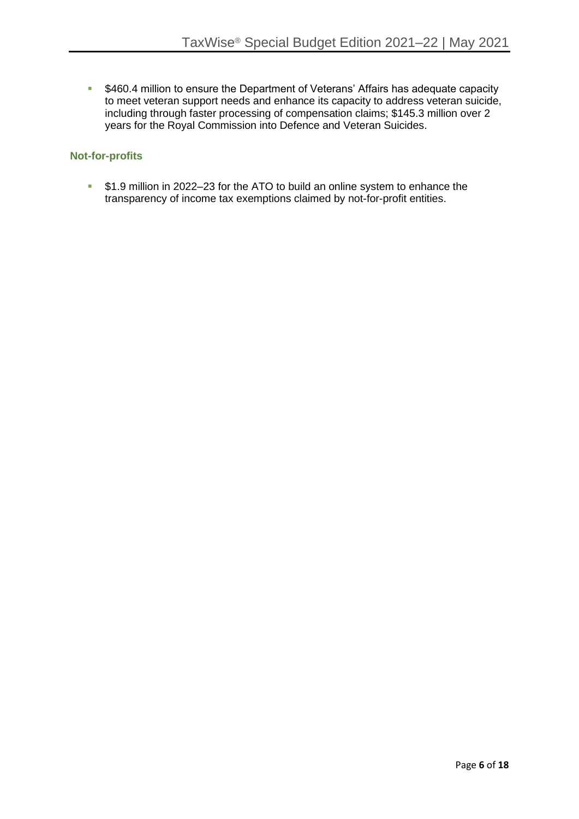■ \$460.4 million to ensure the Department of Veterans' Affairs has adequate capacity to meet veteran support needs and enhance its capacity to address veteran suicide, including through faster processing of compensation claims; \$145.3 million over 2 years for the Royal Commission into Defence and Veteran Suicides.

#### **Not-for-profits**

**•** \$1.9 million in 2022–23 for the ATO to build an online system to enhance the transparency of income tax exemptions claimed by not-for-profit entities.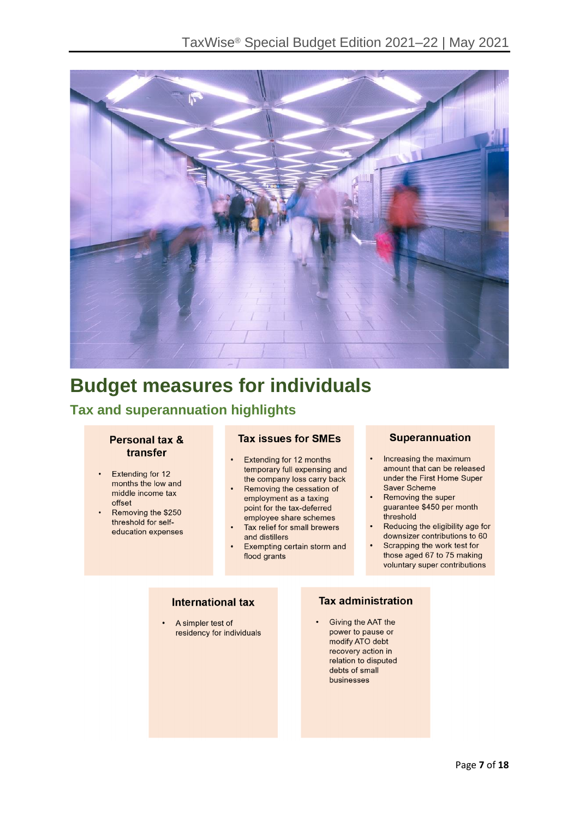

## **Budget measures for individuals**

## **Tax and superannuation highlights**

#### Personal tax & transfer

- Extending for 12 months the low and middle income tax offset
- Removing the \$250 threshold for selfeducation expenses

#### **Tax issues for SMEs**

- Extending for 12 months temporary full expensing and the company loss carry back
- Removing the cessation of employment as a taxing point for the tax-deferred employee share schemes
- Tax relief for small brewers and distillers
- Exempting certain storm and flood grants

#### **Superannuation**

- Increasing the maximum amount that can be released under the First Home Super Saver Scheme
- Removing the super guarantee \$450 per month threshold
- Reducing the eligibility age for downsizer contributions to 60
- Scrapping the work test for those aged 67 to 75 making voluntary super contributions

### **International tax**

A simpler test of residency for individuals

### **Tax administration**

Giving the AAT the power to pause or modify ATO debt recovery action in relation to disputed debts of small businesses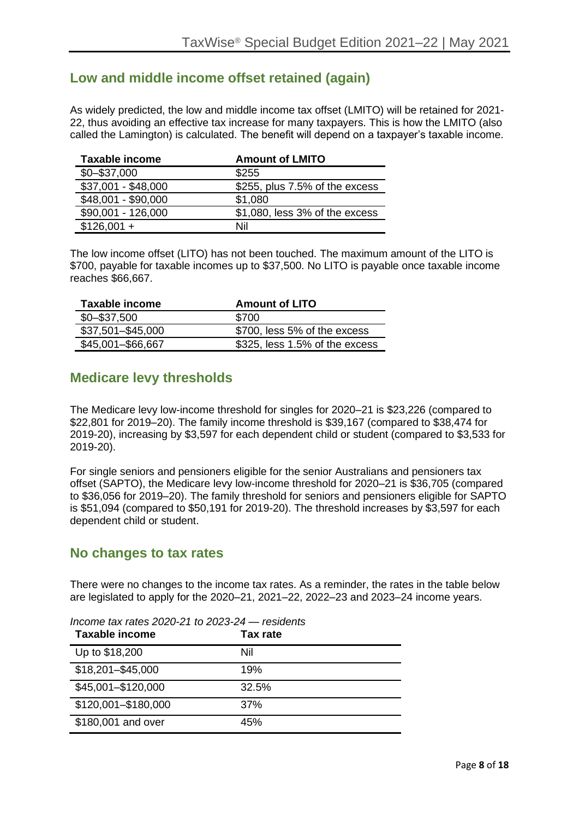## **Low and middle income offset retained (again)**

As widely predicted, the low and middle income tax offset (LMITO) will be retained for 2021- 22, thus avoiding an effective tax increase for many taxpayers. This is how the LMITO (also called the Lamington) is calculated. The benefit will depend on a taxpayer's taxable income.

| <b>Taxable income</b> | <b>Amount of LMITO</b>         |
|-----------------------|--------------------------------|
| $$0 - $37,000$        | \$255                          |
| \$37,001 - \$48,000   | \$255, plus 7.5% of the excess |
| \$48,001 - \$90,000   | \$1,080                        |
| \$90,001 - 126,000    | \$1,080, less 3% of the excess |
| $$126,001 +$          | Nil                            |

The low income offset (LITO) has not been touched. The maximum amount of the LITO is \$700, payable for taxable incomes up to \$37,500. No LITO is payable once taxable income reaches \$66,667.

| Taxable income    | <b>Amount of LITO</b>          |
|-------------------|--------------------------------|
| $$0 - $37,500$    | \$700                          |
| \$37,501-\$45,000 | \$700, less 5% of the excess   |
| \$45,001-\$66,667 | \$325, less 1.5% of the excess |

## **Medicare levy thresholds**

The Medicare levy low-income threshold for singles for 2020–21 is \$23,226 (compared to \$22,801 for 2019–20). The family income threshold is \$39,167 (compared to \$38,474 for 2019-20), increasing by \$3,597 for each dependent child or student (compared to \$3,533 for 2019-20).

For single seniors and pensioners eligible for the senior Australians and pensioners tax offset (SAPTO), the Medicare levy low-income threshold for 2020–21 is \$36,705 (compared to \$36,056 for 2019–20). The family threshold for seniors and pensioners eligible for SAPTO is \$51,094 (compared to \$50,191 for 2019-20). The threshold increases by \$3,597 for each dependent child or student.

## **No changes to tax rates**

There were no changes to the income tax rates. As a reminder, the rates in the table below are legislated to apply for the 2020–21, 2021–22, 2022–23 and 2023–24 income years.

| Taxable income      | <b>Tax rate</b> |
|---------------------|-----------------|
| Up to \$18,200      | Nil             |
| \$18,201-\$45,000   | 19%             |
| \$45,001-\$120,000  | 32.5%           |
| \$120,001-\$180,000 | 37%             |
| \$180,001 and over  | 45%             |

*Income tax rates 2020-21 to 2023-24 — residents*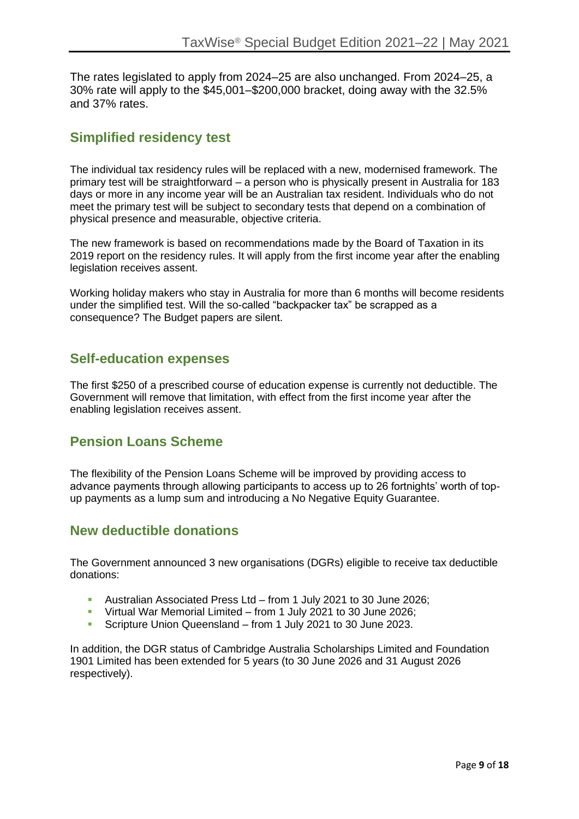The rates legislated to apply from 2024–25 are also unchanged. From 2024–25, a 30% rate will apply to the \$45,001–\$200,000 bracket, doing away with the 32.5% and 37% rates.

## **Simplified residency test**

The individual tax residency rules will be replaced with a new, modernised framework. The primary test will be straightforward – a person who is physically present in Australia for 183 days or more in any income year will be an Australian tax resident. Individuals who do not meet the primary test will be subject to secondary tests that depend on a combination of physical presence and measurable, objective criteria.

The new framework is based on recommendations made by the Board of Taxation in its 2019 report on the residency rules. It will apply from the first income year after the enabling legislation receives assent.

Working holiday makers who stay in Australia for more than 6 months will become residents under the simplified test. Will the so-called "backpacker tax" be scrapped as a consequence? The Budget papers are silent.

## **Self-education expenses**

The first \$250 of a prescribed course of education expense is currently not deductible. The Government will remove that limitation, with effect from the first income year after the enabling legislation receives assent.

## **Pension Loans Scheme**

The flexibility of the Pension Loans Scheme will be improved by providing access to advance payments through allowing participants to access up to 26 fortnights' worth of topup payments as a lump sum and introducing a No Negative Equity Guarantee.

## **New deductible donations**

The Government announced 3 new organisations (DGRs) eligible to receive tax deductible donations:

- Australian Associated Press Ltd from 1 July 2021 to 30 June 2026;
- Virtual War Memorial Limited from 1 July 2021 to 30 June 2026;
- Scripture Union Queensland from 1 July 2021 to 30 June 2023.

In addition, the DGR status of Cambridge Australia Scholarships Limited and Foundation 1901 Limited has been extended for 5 years (to 30 June 2026 and 31 August 2026 respectively).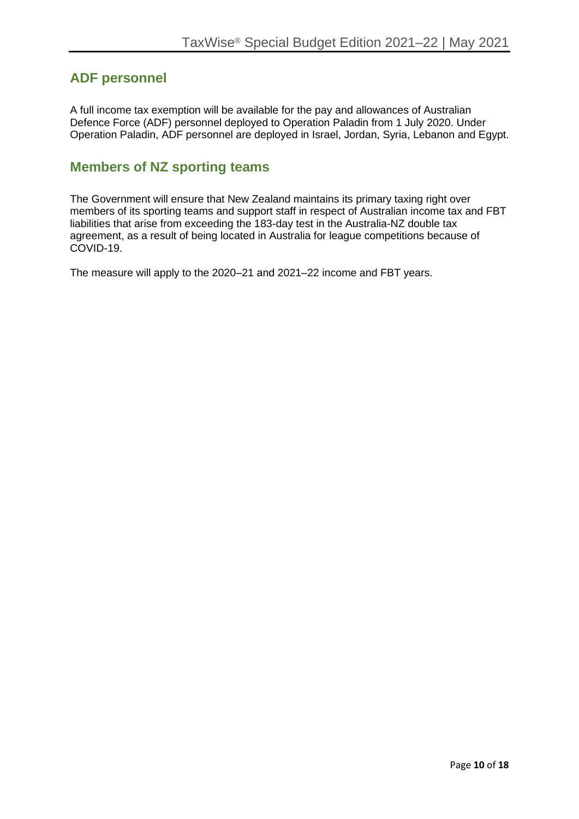## **ADF personnel**

A full income tax exemption will be available for the pay and allowances of Australian Defence Force (ADF) personnel deployed to Operation Paladin from 1 July 2020. Under Operation Paladin, ADF personnel are deployed in Israel, Jordan, Syria, Lebanon and Egypt.

## **Members of NZ sporting teams**

The Government will ensure that New Zealand maintains its primary taxing right over members of its sporting teams and support staff in respect of Australian income tax and FBT liabilities that arise from exceeding the 183-day test in the Australia-NZ double tax agreement, as a result of being located in Australia for league competitions because of COVID-19.

The measure will apply to the 2020–21 and 2021–22 income and FBT years.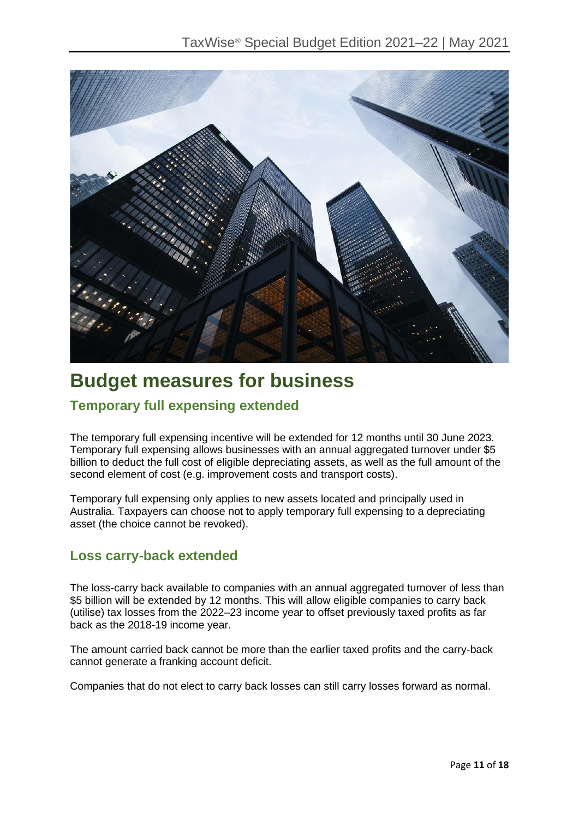

## **Budget measures for business**

## **Temporary full expensing extended**

The temporary full expensing incentive will be extended for 12 months until 30 June 2023. Temporary full expensing allows businesses with an annual aggregated turnover under \$5 billion to deduct the full cost of eligible depreciating assets, as well as the full amount of the second element of cost (e.g. improvement costs and transport costs).

Temporary full expensing only applies to new assets located and principally used in Australia. Taxpayers can choose not to apply temporary full expensing to a depreciating asset (the choice cannot be revoked).

## **Loss carry-back extended**

The loss-carry back available to companies with an annual aggregated turnover of less than \$5 billion will be extended by 12 months. This will allow eligible companies to carry back (utilise) tax losses from the 2022–23 income year to offset previously taxed profits as far back as the 2018-19 income year.

The amount carried back cannot be more than the earlier taxed profits and the carry-back cannot generate a franking account deficit.

Companies that do not elect to carry back losses can still carry losses forward as normal.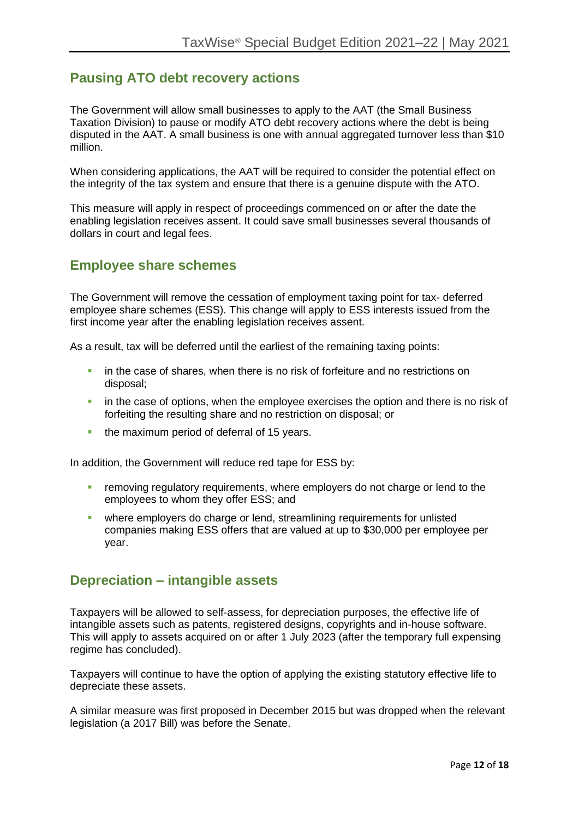## **Pausing ATO debt recovery actions**

The Government will allow small businesses to apply to the AAT (the Small Business Taxation Division) to pause or modify ATO debt recovery actions where the debt is being disputed in the AAT. A small business is one with annual aggregated turnover less than \$10 million.

When considering applications, the AAT will be required to consider the potential effect on the integrity of the tax system and ensure that there is a genuine dispute with the ATO.

This measure will apply in respect of proceedings commenced on or after the date the enabling legislation receives assent. It could save small businesses several thousands of dollars in court and legal fees.

## **Employee share schemes**

The Government will remove the cessation of employment taxing point for tax- deferred employee share schemes (ESS). This change will apply to ESS interests issued from the first income year after the enabling legislation receives assent.

As a result, tax will be deferred until the earliest of the remaining taxing points:

- **•** in the case of shares, when there is no risk of forfeiture and no restrictions on disposal;
- **•** in the case of options, when the employee exercises the option and there is no risk of forfeiting the resulting share and no restriction on disposal; or
- **•** the maximum period of deferral of 15 years.

In addition, the Government will reduce red tape for ESS by:

- **EXECT** removing regulatory requirements, where employers do not charge or lend to the employees to whom they offer ESS; and
- where employers do charge or lend, streamlining requirements for unlisted companies making ESS offers that are valued at up to \$30,000 per employee per year.

## **Depreciation – intangible assets**

Taxpayers will be allowed to self-assess, for depreciation purposes, the effective life of intangible assets such as patents, registered designs, copyrights and in-house software. This will apply to assets acquired on or after 1 July 2023 (after the temporary full expensing regime has concluded).

Taxpayers will continue to have the option of applying the existing statutory effective life to depreciate these assets.

A similar measure was first proposed in December 2015 but was dropped when the relevant legislation (a 2017 Bill) was before the Senate.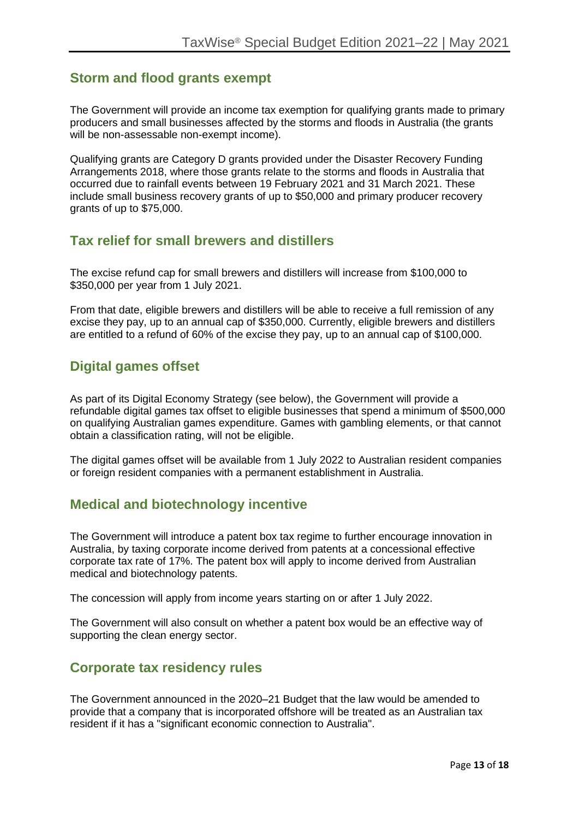## **Storm and flood grants exempt**

The Government will provide an income tax exemption for qualifying grants made to primary producers and small businesses affected by the storms and floods in Australia (the grants will be non-assessable non-exempt income).

Qualifying grants are Category D grants provided under the Disaster Recovery Funding Arrangements 2018, where those grants relate to the storms and floods in Australia that occurred due to rainfall events between 19 February 2021 and 31 March 2021. These include small business recovery grants of up to \$50,000 and primary producer recovery grants of up to \$75,000.

### **Tax relief for small brewers and distillers**

The excise refund cap for small brewers and distillers will increase from \$100,000 to \$350,000 per year from 1 July 2021.

From that date, eligible brewers and distillers will be able to receive a full remission of any excise they pay, up to an annual cap of \$350,000. Currently, eligible brewers and distillers are entitled to a refund of 60% of the excise they pay, up to an annual cap of \$100,000.

## **Digital games offset**

As part of its Digital Economy Strategy (see below), the Government will provide a refundable digital games tax offset to eligible businesses that spend a minimum of \$500,000 on qualifying Australian games expenditure. Games with gambling elements, or that cannot obtain a classification rating, will not be eligible.

The digital games offset will be available from 1 July 2022 to Australian resident companies or foreign resident companies with a permanent establishment in Australia.

## **Medical and biotechnology incentive**

The Government will introduce a patent box tax regime to further encourage innovation in Australia, by taxing corporate income derived from patents at a concessional effective corporate tax rate of 17%. The patent box will apply to income derived from Australian medical and biotechnology patents.

The concession will apply from income years starting on or after 1 July 2022.

The Government will also consult on whether a patent box would be an effective way of supporting the clean energy sector.

## **Corporate tax residency rules**

The Government announced in the 2020–21 Budget that the law would be amended to provide that a company that is incorporated offshore will be treated as an Australian tax resident if it has a "significant economic connection to Australia".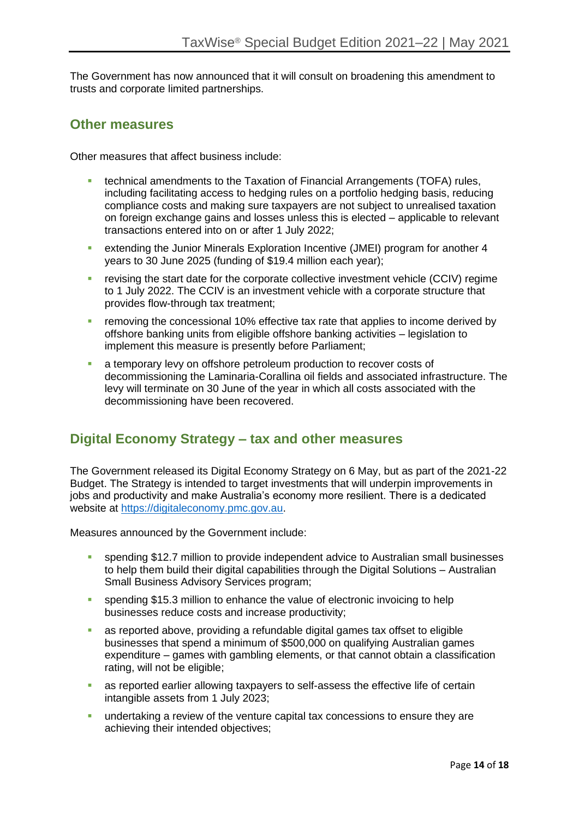The Government has now announced that it will consult on broadening this amendment to trusts and corporate limited partnerships.

### **Other measures**

Other measures that affect business include:

- **technical amendments to the Taxation of Financial Arrangements (TOFA) rules,** including facilitating access to hedging rules on a portfolio hedging basis, reducing compliance costs and making sure taxpayers are not subject to unrealised taxation on foreign exchange gains and losses unless this is elected – applicable to relevant transactions entered into on or after 1 July 2022;
- extending the Junior Minerals Exploration Incentive (JMEI) program for another 4 years to 30 June 2025 (funding of \$19.4 million each year);
- **EXECT** revising the start date for the corporate collective investment vehicle (CCIV) regime to 1 July 2022. The CCIV is an investment vehicle with a corporate structure that provides flow-through tax treatment;
- **E** removing the concessional 10% effective tax rate that applies to income derived by offshore banking units from eligible offshore banking activities – legislation to implement this measure is presently before Parliament;
- **EXECT** a temporary levy on offshore petroleum production to recover costs of decommissioning the Laminaria-Corallina oil fields and associated infrastructure. The levy will terminate on 30 June of the year in which all costs associated with the decommissioning have been recovered.

## **Digital Economy Strategy – tax and other measures**

The Government released its Digital Economy Strategy on 6 May, but as part of the 2021-22 Budget. The Strategy is intended to target investments that will underpin improvements in jobs and productivity and make Australia's economy more resilient. There is a dedicated website at [https://digitaleconomy.pmc.gov.au.](https://digitaleconomy.pmc.gov.au/)

Measures announced by the Government include:

- spending \$12.7 million to provide independent advice to Australian small businesses to help them build their digital capabilities through the Digital Solutions – Australian Small Business Advisory Services program;
- **•** spending \$15.3 million to enhance the value of electronic invoicing to help businesses reduce costs and increase productivity;
- as reported above, providing a refundable digital games tax offset to eligible businesses that spend a minimum of \$500,000 on qualifying Australian games expenditure – games with gambling elements, or that cannot obtain a classification rating, will not be eligible;
- as reported earlier allowing taxpayers to self-assess the effective life of certain intangible assets from 1 July 2023;
- **EXED 10 undertaking a review of the venture capital tax concessions to ensure they are** achieving their intended objectives;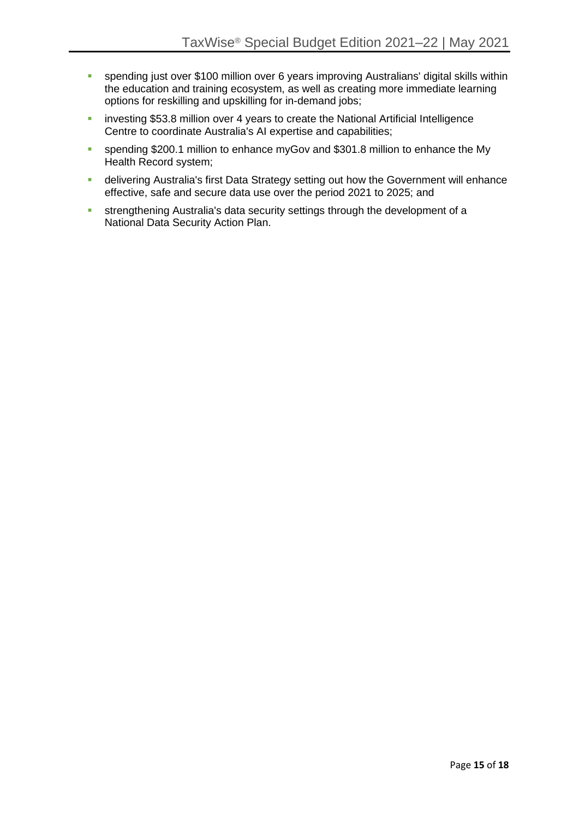- **•** spending just over \$100 million over 6 years improving Australians' digital skills within the education and training ecosystem, as well as creating more immediate learning options for reskilling and upskilling for in-demand jobs;
- **EXEDENT** investing \$53.8 million over 4 years to create the National Artificial Intelligence Centre to coordinate Australia's AI expertise and capabilities;
- **EXECTE Spending \$200.1 million to enhance myGov and \$301.8 million to enhance the My** Health Record system;
- **■** delivering Australia's first Data Strategy setting out how the Government will enhance effective, safe and secure data use over the period 2021 to 2025; and
- **EXECUTE:** strengthening Australia's data security settings through the development of a National Data Security Action Plan.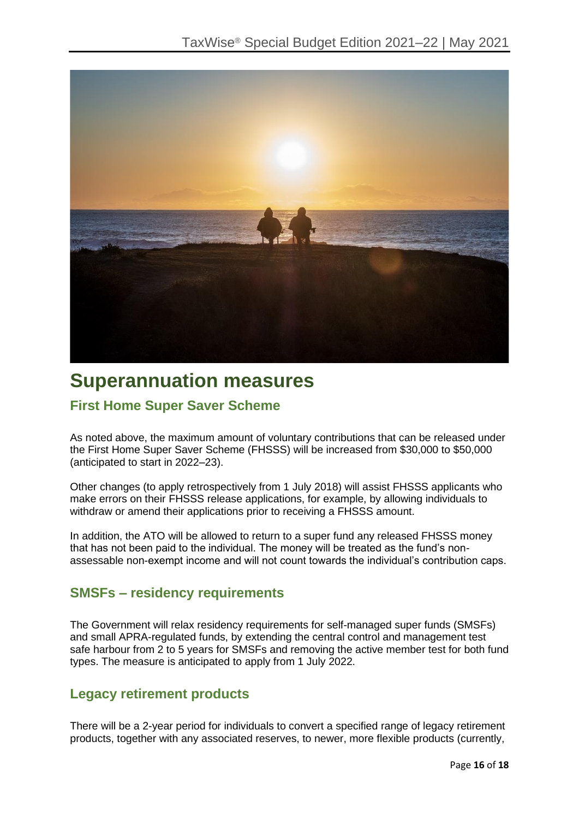

## **Superannuation measures**

## **First Home Super Saver Scheme**

As noted above, the maximum amount of voluntary contributions that can be released under the First Home Super Saver Scheme (FHSSS) will be increased from \$30,000 to \$50,000 (anticipated to start in 2022–23).

Other changes (to apply retrospectively from 1 July 2018) will assist FHSSS applicants who make errors on their FHSSS release applications, for example, by allowing individuals to withdraw or amend their applications prior to receiving a FHSSS amount.

In addition, the ATO will be allowed to return to a super fund any released FHSSS money that has not been paid to the individual. The money will be treated as the fund's nonassessable non-exempt income and will not count towards the individual's contribution caps.

## **SMSFs – residency requirements**

The Government will relax residency requirements for self-managed super funds (SMSFs) and small APRA-regulated funds, by extending the central control and management test safe harbour from 2 to 5 years for SMSFs and removing the active member test for both fund types. The measure is anticipated to apply from 1 July 2022.

## **Legacy retirement products**

There will be a 2-year period for individuals to convert a specified range of legacy retirement products, together with any associated reserves, to newer, more flexible products (currently,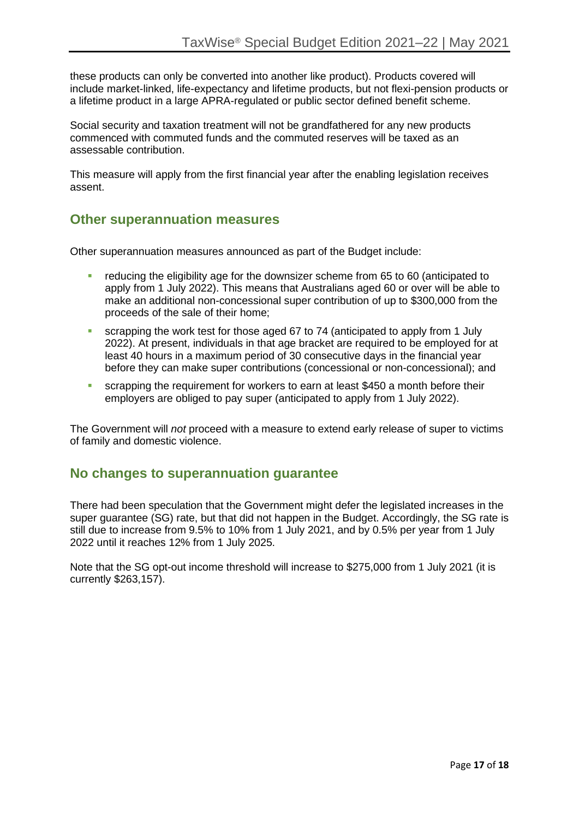these products can only be converted into another like product). Products covered will include market-linked, life-expectancy and lifetime products, but not flexi-pension products or a lifetime product in a large APRA-regulated or public sector defined benefit scheme.

Social security and taxation treatment will not be grandfathered for any new products commenced with commuted funds and the commuted reserves will be taxed as an assessable contribution.

This measure will apply from the first financial year after the enabling legislation receives assent.

## **Other superannuation measures**

Other superannuation measures announced as part of the Budget include:

- **•** reducing the eligibility age for the downsizer scheme from 65 to 60 (anticipated to apply from 1 July 2022). This means that Australians aged 60 or over will be able to make an additional non-concessional super contribution of up to \$300,000 from the proceeds of the sale of their home;
- scrapping the work test for those aged 67 to 74 (anticipated to apply from 1 July 2022). At present, individuals in that age bracket are required to be employed for at least 40 hours in a maximum period of 30 consecutive days in the financial year before they can make super contributions (concessional or non-concessional); and
- **E** scrapping the requirement for workers to earn at least \$450 a month before their employers are obliged to pay super (anticipated to apply from 1 July 2022).

The Government will *not* proceed with a measure to extend early release of super to victims of family and domestic violence.

## **No changes to superannuation guarantee**

There had been speculation that the Government might defer the legislated increases in the super guarantee (SG) rate, but that did not happen in the Budget. Accordingly, the SG rate is still due to increase from 9.5% to 10% from 1 July 2021, and by 0.5% per year from 1 July 2022 until it reaches 12% from 1 July 2025.

Note that the SG opt-out income threshold will increase to \$275,000 from 1 July 2021 (it is currently \$263,157).